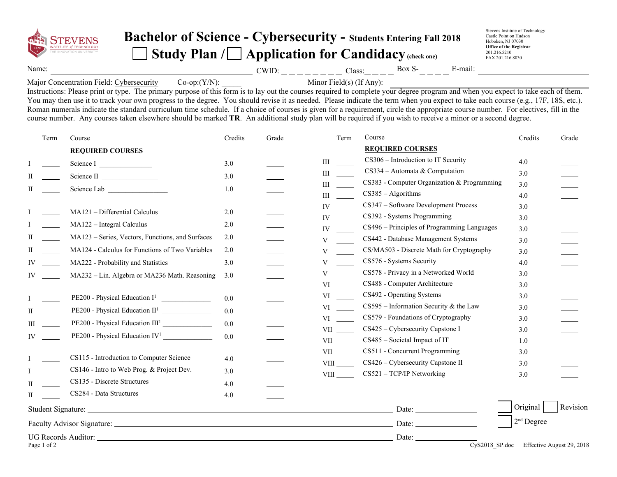

## **Bachelor of Science - Cybersecurity - Students Entering Fall 201<sup>8</sup>** Study Plan / **Application for Candidacy** (check one)

Stevens Institute of Technology Castle Point on Hudson Hoboken, NJ 07030 **Office of the Registrar** 201.216.5210 FAX 201.216.8030

Name: CWID: Class: Box S- E-mail:

Major Concentration Field: Cybersecurity  $Co-op:(Y/N):$  Minor Field(s) (If Any):

Instructions: Please print or type. The primary purpose of this form is to lay out the courses required to complete your degree program and when you expect to take each of them. You may then use it to track your own progress to the degree. You should revise it as needed. Please indicate the term when you expect to take each course (e.g., 17F, 18S, etc.). Roman numerals indicate the standard curriculum time schedule. If a choice of courses is given for a requirement, circle the appropriate course number. For electives, fill in the course number. Any courses taken elsewhere should be marked **TR**. An additional study plan will be required if you wish to receive a minor or a second degree.

| Term        | Course                                           | Credits | Grade | Term                                                                                                                                                                                                                           | Course                                       | Credits             | Grade                     |
|-------------|--------------------------------------------------|---------|-------|--------------------------------------------------------------------------------------------------------------------------------------------------------------------------------------------------------------------------------|----------------------------------------------|---------------------|---------------------------|
|             | <b>REQUIRED COURSES</b>                          |         |       |                                                                                                                                                                                                                                | <b>REQUIRED COURSES</b>                      |                     |                           |
|             | Science I                                        | 3.0     |       | Ш                                                                                                                                                                                                                              | CS306 – Introduction to IT Security          | 4.0                 |                           |
|             | Science II                                       | 3.0     |       | $\mathbf{III}$                                                                                                                                                                                                                 | $CS334 -$ Automata & Computation             | 3.0                 |                           |
|             | Science Lab                                      | 1.0     |       | $\mathbf{III}$                                                                                                                                                                                                                 | CS383 - Computer Organization & Programming  | 3.0                 |                           |
|             |                                                  |         |       | Ш                                                                                                                                                                                                                              | $CS385 - Algorithms$                         | 4.0                 |                           |
|             | MA121 - Differential Calculus                    | 2.0     |       | IV                                                                                                                                                                                                                             | CS347 - Software Development Process         | 3.0                 |                           |
|             | MA122 - Integral Calculus                        | 2.0     |       | IV                                                                                                                                                                                                                             | CS392 - Systems Programming                  | 3.0                 |                           |
|             |                                                  |         |       | IV                                                                                                                                                                                                                             | CS496 - Principles of Programming Languages  | 3.0                 |                           |
|             | MA123 - Series, Vectors, Functions, and Surfaces | 2.0     |       | V                                                                                                                                                                                                                              | CS442 - Database Management Systems          | 3.0                 |                           |
|             | MA124 - Calculus for Functions of Two Variables  | 2.0     |       | V                                                                                                                                                                                                                              | CS/MA503 - Discrete Math for Cryptography    | 3.0                 |                           |
|             | MA222 - Probability and Statistics               | 3.0     |       | V                                                                                                                                                                                                                              | CS576 - Systems Security                     | 4.0                 |                           |
|             | MA232 - Lin. Algebra or MA236 Math. Reasoning    | 3.0     |       | V                                                                                                                                                                                                                              | CS578 - Privacy in a Networked World         | 3.0                 |                           |
|             |                                                  |         |       | VI                                                                                                                                                                                                                             | CS488 - Computer Architecture                | 3.0                 |                           |
|             | $PE200$ - Physical Education $I1$                | 0.0     |       | VI                                                                                                                                                                                                                             | CS492 - Operating Systems                    | 3.0                 |                           |
| П           |                                                  | 0.0     |       | VI                                                                                                                                                                                                                             | $CS595$ – Information Security & the Law     | 3.0                 |                           |
|             | PE200 - Physical Education III <sup>1</sup>      | 0.0     |       | VI and the set of the set of the set of the set of the set of the set of the set of the set of the set of the set of the set of the set of the set of the set of the set of the set of the set of the set of the set of the se | CS579 - Foundations of Cryptography          | 3.0                 |                           |
| IV          | $PE200$ - Physical Education IV <sup>1</sup>     | 0.0     |       | <b>VII</b>                                                                                                                                                                                                                     | CS425 – Cybersecurity Capstone I             | 3.0                 |                           |
|             |                                                  |         |       | <b>VII</b>                                                                                                                                                                                                                     | CS485 - Societal Impact of IT                | 1.0                 |                           |
|             | CS115 - Introduction to Computer Science         | 4.0     |       | VII version of the set of the set of the set of the set of the set of the set of the set of the set of the set of the set of the set of the set of the set of the set of the set of the set of the set of the set of the set o | CS511 - Concurrent Programming               | 3.0                 |                           |
|             | CS146 - Intro to Web Prog. & Project Dev.        | 3.0     |       | <b>VIII</b>                                                                                                                                                                                                                    | CS426 – Cybersecurity Capstone II            | 3.0                 |                           |
|             | CS135 - Discrete Structures                      |         |       | <b>VIII</b>                                                                                                                                                                                                                    | CS521 - TCP/IP Networking                    | 3.0                 |                           |
| H           | CS284 - Data Structures                          | 4.0     |       |                                                                                                                                                                                                                                |                                              |                     |                           |
| H           |                                                  | 4.0     |       |                                                                                                                                                                                                                                |                                              |                     |                           |
|             |                                                  |         |       |                                                                                                                                                                                                                                |                                              | Original            | Revision                  |
|             |                                                  |         |       |                                                                                                                                                                                                                                |                                              | $2^{\rm nd}$ Degree |                           |
| Page 1 of 2 |                                                  |         |       |                                                                                                                                                                                                                                | Date:<br>$\overline{\text{Cy}}$ S2018_SP.doc |                     | Effective August 29, 2018 |
|             |                                                  |         |       |                                                                                                                                                                                                                                |                                              |                     |                           |